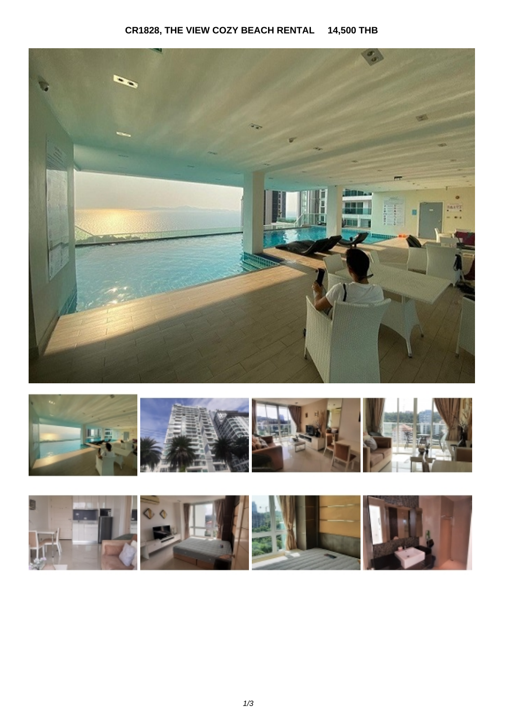## **CR1828, THE VIEW COZY BEACH RENTAL 14,500 THB**





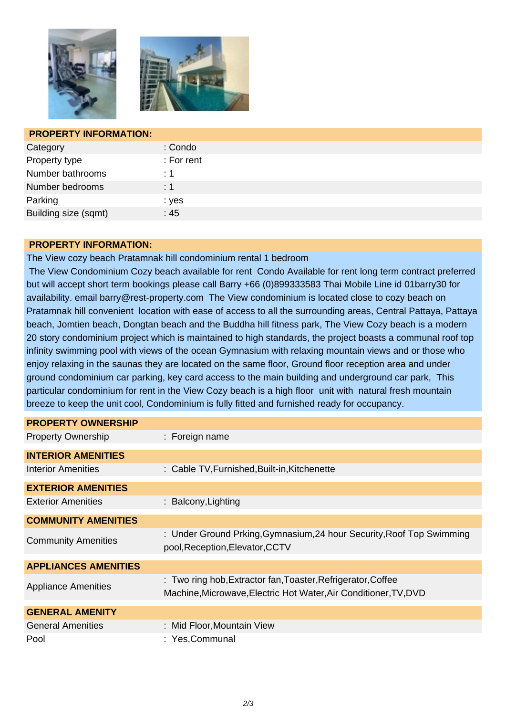



| <b>PROPERTY INFORMATION:</b> |            |
|------------------------------|------------|
| Category                     | : Condo    |
| Property type                | : For rent |
| Number bathrooms             | :1         |
| Number bedrooms              | $\div$ 1   |
| Parking                      | : yes      |
| Building size (sqmt)         | :45        |

## **PROPERTY INFORMATION:**

The View cozy beach Pratamnak hill condominium rental 1 bedroom

 The View Condominium Cozy beach available for rent Condo Available for rent long term contract preferred but will accept short term bookings please call Barry +66 (0)899333583 Thai Mobile Line id 01barry30 for availability. email barry@rest-property.com The View condominium is located close to cozy beach on Pratamnak hill convenient location with ease of access to all the surrounding areas, Central Pattaya, Pattaya beach, Jomtien beach, Dongtan beach and the Buddha hill fitness park, The View Cozy beach is a modern 20 story condominium project which is maintained to high standards, the project boasts a communal roof top infinity swimming pool with views of the ocean Gymnasium with relaxing mountain views and or those who enjoy relaxing in the saunas they are located on the same floor, Ground floor reception area and under ground condominium car parking, key card access to the main building and underground car park, This particular condominium for rent in the View Cozy beach is a high floor unit with natural fresh mountain breeze to keep the unit cool, Condominium is fully fitted and furnished ready for occupancy.

| <b>PROPERTY OWNERSHIP</b>   |                                                                                                                                  |
|-----------------------------|----------------------------------------------------------------------------------------------------------------------------------|
| <b>Property Ownership</b>   | : Foreign name                                                                                                                   |
| <b>INTERIOR AMENITIES</b>   |                                                                                                                                  |
| Interior Amenities          | : Cable TV, Furnished, Built-in, Kitchenette                                                                                     |
| <b>EXTERIOR AMENITIES</b>   |                                                                                                                                  |
| <b>Exterior Amenities</b>   | : Balcony, Lighting                                                                                                              |
| <b>COMMUNITY AMENITIES</b>  |                                                                                                                                  |
| <b>Community Amenities</b>  | : Under Ground Prking, Gymnasium, 24 hour Security, Roof Top Swimming<br>pool, Reception, Elevator, CCTV                         |
| <b>APPLIANCES AMENITIES</b> |                                                                                                                                  |
| <b>Appliance Amenities</b>  | : Two ring hob, Extractor fan, Toaster, Refrigerator, Coffee<br>Machine, Microwave, Electric Hot Water, Air Conditioner, TV, DVD |
| <b>GENERAL AMENITY</b>      |                                                                                                                                  |
| <b>General Amenities</b>    | : Mid Floor, Mountain View                                                                                                       |
| Pool                        | : Yes, Communal                                                                                                                  |